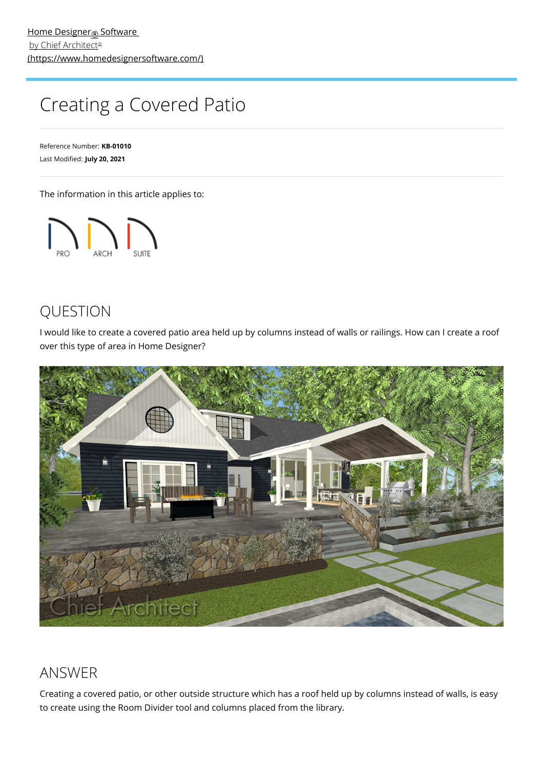# Creating a Covered Patio

Reference Number: **KB-01010** Last Modified: **July 20, 2021**

The information in this article applies to:



## QUESTION

I would like to create a covered patio area held up by columns instead of walls or railings. How can I create a roof over this type of area in Home Designer?



## ANSWER

Creating a covered patio, or other outside structure which has a roof held up by columns instead of walls, is easy to create using the Room Divider tool and columns placed from the library.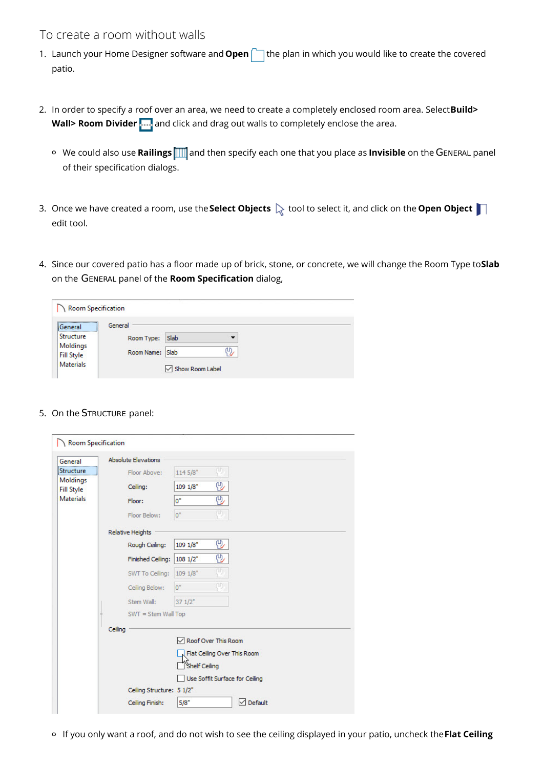#### To create a room without walls

- 1. Launch your Home Designer software and **Open** the plan in which you would like to create the covered patio.
- 2. In order to specify a roof over an area, we need to create a completely enclosed room area. Select**Build>** Wall> Room Divider **ADD** and click and drag out walls to completely enclose the area.
	- <sup>o</sup> We could also use **Railings 11** and then specify each one that you place as **Invisible** on the GENERAL panel of their specification dialogs.
- 3. Once we have created a room, use the **Select Objects**  $\&set$  tool to select it, and click on the **Open Object** edit tool.
- 4. Since our covered patio has a floor made up of brick, stone, or concrete, we will change the Room Type to**Slab** on the GENERAL panel of the **Room Specification** dialog,

| <b>Room Specification</b>                                                     |                                          |                         |   |  |  |
|-------------------------------------------------------------------------------|------------------------------------------|-------------------------|---|--|--|
| General<br><br>Structure<br>Moldings<br><b>Fill Style</b><br><b>Materials</b> | General<br>Room Type:<br>Room Name: Slab | Slab<br>Show Room Label | 凹 |  |  |

#### 5. On the STRUCTURE panel:

| General                       | <b>Absolute Elevations</b> |                     |    |                                |  |
|-------------------------------|----------------------------|---------------------|----|--------------------------------|--|
| Structure                     | Floor Above:               | 114 5/8"            | φ. |                                |  |
| Moldings<br><b>Fill Style</b> | Ceiling:                   | $109 \frac{1}{8}$   | 92 |                                |  |
| <b>Materials</b>              | Floor:                     | $0^*$               | 见  |                                |  |
|                               | Floor Below:               | 0"                  | φ, |                                |  |
|                               | <b>Relative Heights</b>    |                     |    |                                |  |
|                               | Rough Ceiling:             | 1091/8"             | 92 |                                |  |
|                               | Finished Ceiling:          | 1081/2"             | 42 |                                |  |
|                               | SWT To Ceiling:            | 1091/8"             | U  |                                |  |
|                               | Ceiling Below:             | 0"                  | m  |                                |  |
|                               | Stem Wall:                 | 371/2"              |    |                                |  |
|                               | SWT = Stem Wall Top        |                     |    |                                |  |
|                               | Ceiling                    |                     |    |                                |  |
|                               |                            | Roof Over This Room |    |                                |  |
|                               |                            |                     |    | Flat Ceiling Over This Room    |  |
|                               |                            | Shelf Ceiling       |    |                                |  |
|                               |                            |                     |    | Use Soffit Surface for Ceiling |  |
|                               | Ceiling Structure: 5 1/2"  |                     |    |                                |  |
|                               | Ceiling Finish:            | 5/8"                |    | $\vee$ Default                 |  |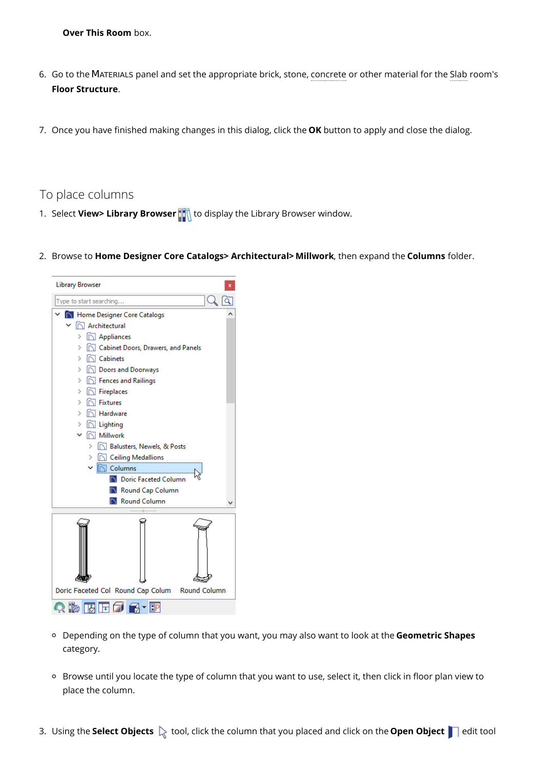**Over This Room** box.

- 6. Go to the MATERIALS panel and set the appropriate brick, stone, concrete or other material for the Slab room's **Floor Structure**.
- 7. Once you have finished making changes in this dialog, click the **OK** button to apply and close the dialog.

To place columns

- 1. Select **View> Library Browser** to display the Library Browser window.
- 2. Browse to **Home Designer Core Catalogs> Architectural> Millwork**, then expand the **Columns** folder.



- Depending on the type of column that you want, you may also want to look at the **Geometric Shapes** category.
- Browse until you locate the type of column that you want to use, select it, then click in floor plan view to place the column.